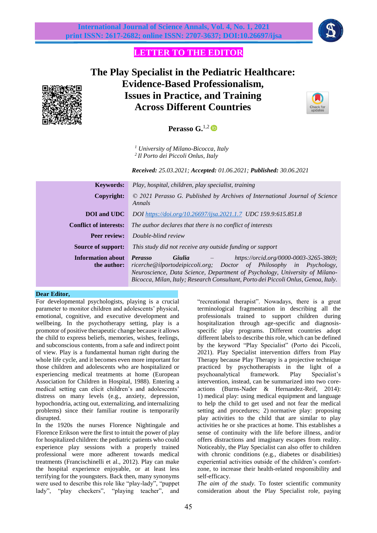

## **LETTER TO THE EDITOR**

# **The Play Specialist in the Pediatric Healthcare: Evidence-Based Professionalism, Issues in Practice, and Training Across Different Countries**



**Perasso G.**1,2

*<sup>1</sup> University of Milano-Bicocca, Italy 2 Il Porto dei Piccoli Onlus, Italy*

*Received: 25.03.2021; Accepted: 01.06.2021; Published: 30.06.2021*

| © 2021 Perasso G. Published by Archives of International Journal of Science                                                                                                                                                                                                        |
|------------------------------------------------------------------------------------------------------------------------------------------------------------------------------------------------------------------------------------------------------------------------------------|
|                                                                                                                                                                                                                                                                                    |
|                                                                                                                                                                                                                                                                                    |
|                                                                                                                                                                                                                                                                                    |
|                                                                                                                                                                                                                                                                                    |
| https://orcid.org/0000-0003-3265-3869;<br>ricerche@ilportodeipiccoli.org; Doctor of Philosophy in Psychology,<br>Neuroscience, Data Science, Department of Psychology, University of Milano-<br>Bicocca, Milan, Italy; Research Consultant, Porto dei Piccoli Onlus, Genoa, Italy. |
|                                                                                                                                                                                                                                                                                    |

#### **Dear Editor,**

For developmental psychologists, playing is a crucial parameter to monitor children and adolescents' physical, emotional, cognitive, and executive development and wellbeing. In the psychotherapy setting, play is a promotor of positive therapeutic change because it allows the child to express beliefs, memories, wishes, feelings, and subconscious contents, from a safe and indirect point of view. Play is a fundamental human right during the whole life cycle, and it becomes even more important for those children and adolescents who are hospitalized or experiencing medical treatments at home (European Association for Children in Hospital, 1988). Entering a medical setting can elicit children's and adolescents' distress on many levels (e.g., anxiety, depression, hypochondria, acting out, externalizing, and internalizing problems) since their familiar routine is temporarily disrupted.

In the 1920s the nurses Florence Nightingale and Florence Erikson were the first to intuit the power of play for hospitalized children: the pediatric patients who could experience play sessions with a properly trained professional were more adherent towards medical treatments (Francischinelli et al., 2012). Play can make the hospital experience enjoyable, or at least less terrifying for the youngsters. Back then, many synonyms were used to describe this role like "play-lady", "puppet lady", "play checkers", "playing teacher", and

"recreational therapist". Nowadays, there is a great terminological fragmentation in describing all the professionals trained to support children during hospitalization through age-specific and diagnosisspecific play programs. Different countries adopt different labels to describe this role, which can be defined by the keyword "Play Specialist" (Porto dei Piccoli, 2021). Play Specialist intervention differs from Play Therapy because Play Therapy is a projective technique practiced by psychotherapists in the light of a psychoanalytical framework. Play Specialist's intervention, instead, can be summarized into two coreactions (Burns-Nader & Hernandez-Reif, 2014): 1) medical play: using medical equipment and language to help the child to get used and not fear the medical setting and procedures; 2) normative play: proposing play activities to the child that are similar to play activities he or she practices at home. This establishes a sense of continuity with the life before illness, and/or offers distractions and imaginary escapes from reality. Noticeably, the Play Specialist can also offer to children with chronic conditions (e.g., diabetes or disabilities) experiential activities outside of the children's comfortzone, to increase their health-related responsibility and self-efficacy.

*The aim of the study.* To foster scientific community consideration about the Play Specialist role, paying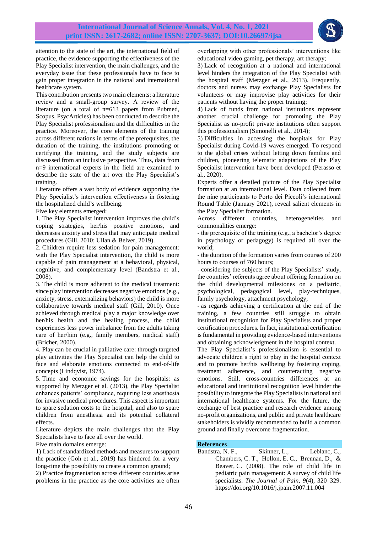

attention to the state of the art, the international field of practice, the evidence supporting the effectiveness of the Play Specialist intervention, the main challenges, and the everyday issue that these professionals have to face to gain proper integration in the national and international healthcare system.

This contribution presents two main elements: a literature review and a small-group survey. A review of the literature (on a total of n=613 papers from Pubmed, Scopus, PsycArticles) has been conducted to describe the Play Specialist professionalism and the difficulties in the practice. Moreover, the core elements of the training across different nations in terms of the prerequisites, the duration of the training, the institutions promoting or certifying the training, and the study subjects are discussed from an inclusive perspective. Thus, data from n=9 international experts in the field are examined to describe the state of the art over the Play Specialist's training.

Literature offers a vast body of evidence supporting the Play Specialist's intervention effectiveness in fostering the hospitalized child's wellbeing.

Five key elements emerged:

1. The Play Specialist intervention improves the child's coping strategies, her/his positive emotions, and decreases anxiety and stress that may anticipate medical procedures (Gill, 2010; Ullan & Belver, 2019).

2. Children require less sedation for pain management: with the Play Specialist intervention, the child is more capable of pain management at a behavioral, physical, cognitive, and complementary level (Bandstra et al., 2008).

3. The child is more adherent to the medical treatment: since play intervention decreases negative emotions (e.g., anxiety, stress, externalizing behaviors) the child is more collaborative towards medical staff (Gill, 2010). Once achieved through medical play a major knowledge over her/his health and the healing process, the child experiences less power imbalance from the adults taking care of her/him (e.g., family members, medical staff) (Bricher, 2000).

4. Play can be crucial in palliative care: through targeted play activities the Play Specialist can help the child to face and elaborate emotions connected to end-of-life concepts (Lindqvist, 1974).

5. Time and economic savings for the hospitals: as supported by Metzger et al. (2013), the Play Specialist enhances patients' compliance, requiring less anesthesia for invasive medical procedures. This aspect is important to spare sedation costs to the hospital, and also to spare children from anesthesia and its potential collateral effects.

Literature depicts the main challenges that the Play Specialists have to face all over the world.

Five main domains emerge:

1) Lack of standardized methods and measures to support the practice (Goh et al., 2019) has hindered for a very long-time the possibility to create a common ground;

2) Practice fragmentation across different countries arise problems in the practice as the core activities are often overlapping with other professionals' interventions like educational video gaming, pet therapy, art therapy;

3) Lack of recognition at a national and international level hinders the integration of the Play Specialist with the hospital staff (Metzger et al., 2013). Frequently, doctors and nurses may exchange Play Specialists for volunteers or may improvise play activities for their patients without having the proper training;

4) Lack of funds from national institutions represent another crucial challenge for promoting the Play Specialist as no-profit private institutions often support this professionalism (Simonelli et al., 2014);

5) Difficulties in accessing the hospitals for Play Specialist during Covid-19 waves emerged. To respond to the global crises without letting down families and children, pioneering telematic adaptations of the Play Specialist intervention have been developed (Perasso et al., 2020).

Experts offer a detailed picture of the Play Specialist formation at an international level. Data collected from the nine participants to Porto dei Piccoli's international Round Table (January 2021), reveal salient elements in the Play Specialist formation.

Across different countries, heterogeneities and commonalities emerge:

- the prerequisite of the training (e.g., a bachelor's degree in psychology or pedagogy) is required all over the world;

- the duration of the formation varies from courses of 200 hours to courses of 760 hours;

- considering the subjects of the Play Specialists' study, the countries' referents agree about offering formation on the child developmental milestones on a pediatric, psychological, pedagogical level, play-techniques, family psychology, attachment psychology;

- as regards achieving a certification at the end of the training, a few countries still struggle to obtain institutional recognition for Play Specialists and proper certification procedures. In fact, institutional certification is fundamental in providing evidence-based interventions and obtaining acknowledgment in the hospital context.

The Play Specialist's professionalism is essential to advocate children's right to play in the hospital context and to promote her/his wellbeing by fostering coping, treatment adherence, and counteracting negative emotions. Still, cross-countries differences at an educational and institutional recognition level hinder the possibility to integrate the Play Specialists in national and international healthcare systems. For the future, the exchange of best practice and research evidence among no-profit organizations, and public and private healthcare stakeholders is vividly recommended to build a common ground and finally overcome fragmentation.

## **References**

Bandstra, N. F., Skinner, L., Leblanc, C., Chambers, C. T., Hollon, E. C., Brennan, D., & Beaver, C. (2008). The role of child life in pediatric pain management: A survey of child life specialists. *The Journal of Pain, 9*(4), 320–329. <https://doi.org/10.1016/j.jpain.2007.11.004>